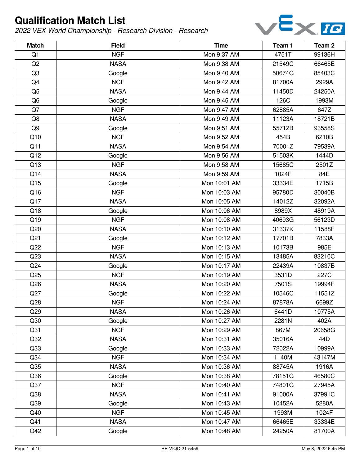

| <b>Match</b>    | <b>Field</b> | <b>Time</b>  | Team 1 | Team <sub>2</sub> |
|-----------------|--------------|--------------|--------|-------------------|
| Q1              | <b>NGF</b>   | Mon 9:37 AM  | 4751T  | 99136H            |
| Q <sub>2</sub>  | <b>NASA</b>  | Mon 9:38 AM  | 21549C | 66465E            |
| Q <sub>3</sub>  | Google       | Mon 9:40 AM  | 50674G | 85403C            |
| Q4              | <b>NGF</b>   | Mon 9:42 AM  | 81700A | 2929A             |
| Q <sub>5</sub>  | <b>NASA</b>  | Mon 9:44 AM  | 11450D | 24250A            |
| Q <sub>6</sub>  | Google       | Mon 9:45 AM  | 126C   | 1993M             |
| Q7              | <b>NGF</b>   | Mon 9:47 AM  | 62885A | 647Z              |
| Q8              | <b>NASA</b>  | Mon 9:49 AM  | 11123A | 18721B            |
| Q <sub>9</sub>  | Google       | Mon 9:51 AM  | 55712B | 93558S            |
| Q10             | <b>NGF</b>   | Mon 9:52 AM  | 454B   | 6210B             |
| Q11             | <b>NASA</b>  | Mon 9:54 AM  | 70001Z | 79539A            |
| Q12             | Google       | Mon 9:56 AM  | 51503K | 1444D             |
| Q13             | <b>NGF</b>   | Mon 9:58 AM  | 15685C | 2501Z             |
| Q14             | <b>NASA</b>  | Mon 9:59 AM  | 1024F  | 84E               |
| Q15             | Google       | Mon 10:01 AM | 33334E | 1715B             |
| Q16             | <b>NGF</b>   | Mon 10:03 AM | 95780D | 30040B            |
| Q17             | <b>NASA</b>  | Mon 10:05 AM | 14012Z | 32092A            |
| Q18             | Google       | Mon 10:06 AM | 8989X  | 48919A            |
| Q19             | <b>NGF</b>   | Mon 10:08 AM | 40693G | 56123D            |
| Q20             | <b>NASA</b>  | Mon 10:10 AM | 31337K | 11588F            |
| Q <sub>21</sub> | Google       | Mon 10:12 AM | 17701B | 7833A             |
| Q22             | <b>NGF</b>   | Mon 10:13 AM | 10173B | 985E              |
| Q23             | <b>NASA</b>  | Mon 10:15 AM | 13485A | 83210C            |
| Q24             | Google       | Mon 10:17 AM | 22439A | 10837B            |
| Q25             | <b>NGF</b>   | Mon 10:19 AM | 3531D  | 227C              |
| Q26             | <b>NASA</b>  | Mon 10:20 AM | 7501S  | 19994F            |
| Q27             | Google       | Mon 10:22 AM | 10546C | 11551Z            |
| Q28             | <b>NGF</b>   | Mon 10:24 AM | 87878A | 6699Z             |
| Q29             | <b>NASA</b>  | Mon 10:26 AM | 6441D  | 10775A            |
| Q30             | Google       | Mon 10:27 AM | 2281N  | 402A              |
| Q <sub>31</sub> | <b>NGF</b>   | Mon 10:29 AM | 867M   | 20658G            |
| Q <sub>32</sub> | <b>NASA</b>  | Mon 10:31 AM | 35016A | 44D               |
| Q33             | Google       | Mon 10:33 AM | 72022A | 10999A            |
| Q <sub>34</sub> | <b>NGF</b>   | Mon 10:34 AM | 1140M  | 43147M            |
| Q <sub>35</sub> | <b>NASA</b>  | Mon 10:36 AM | 88745A | 1916A             |
| Q36             | Google       | Mon 10:38 AM | 78151G | 46580C            |
| Q <sub>37</sub> | <b>NGF</b>   | Mon 10:40 AM | 74801G | 27945A            |
| Q38             | <b>NASA</b>  | Mon 10:41 AM | 91000A | 37991C            |
| Q39             | Google       | Mon 10:43 AM | 10452A | 5280A             |
| Q40             | <b>NGF</b>   | Mon 10:45 AM | 1993M  | 1024F             |
| Q41             | <b>NASA</b>  | Mon 10:47 AM | 66465E | 33334E            |
| Q42             | Google       | Mon 10:48 AM | 24250A | 81700A            |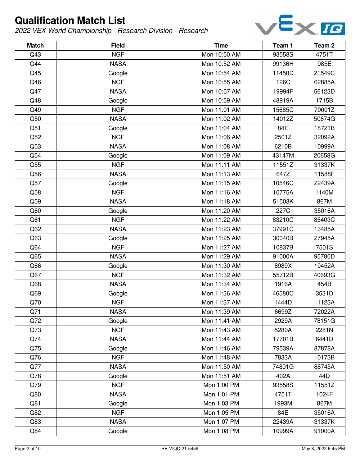

| <b>Match</b>    | <b>Field</b> | <b>Time</b>  | Team 1 | Team <sub>2</sub> |
|-----------------|--------------|--------------|--------|-------------------|
| Q43             | <b>NGF</b>   | Mon 10:50 AM | 93558S | 4751T             |
| Q44             | <b>NASA</b>  | Mon 10:52 AM | 99136H | 985E              |
| Q45             | Google       | Mon 10:54 AM | 11450D | 21549C            |
| Q46             | <b>NGF</b>   | Mon 10:55 AM | 126C   | 62885A            |
| Q47             | <b>NASA</b>  | Mon 10:57 AM | 19994F | 56123D            |
| Q48             | Google       | Mon 10:59 AM | 48919A | 1715B             |
| Q49             | <b>NGF</b>   | Mon 11:01 AM | 15685C | 70001Z            |
| Q50             | <b>NASA</b>  | Mon 11:02 AM | 14012Z | 50674G            |
| Q51             | Google       | Mon 11:04 AM | 84E    | 18721B            |
| Q52             | <b>NGF</b>   | Mon 11:06 AM | 2501Z  | 32092A            |
| Q53             | <b>NASA</b>  | Mon 11:08 AM | 6210B  | 10999A            |
| Q54             | Google       | Mon 11:09 AM | 43147M | 20658G            |
| Q55             | <b>NGF</b>   | Mon 11:11 AM | 11551Z | 31337K            |
| Q56             | <b>NASA</b>  | Mon 11:13 AM | 647Z   | 11588F            |
| Q57             | Google       | Mon 11:15 AM | 10546C | 22439A            |
| Q58             | <b>NGF</b>   | Mon 11:16 AM | 10775A | 1140M             |
| Q59             | <b>NASA</b>  | Mon 11:18 AM | 51503K | 867M              |
| Q60             | Google       | Mon 11:20 AM | 227C   | 35016A            |
| Q61             | <b>NGF</b>   | Mon 11:22 AM | 83210C | 85403C            |
| Q <sub>62</sub> | <b>NASA</b>  | Mon 11:23 AM | 37991C | 13485A            |
| Q63             | Google       | Mon 11:25 AM | 30040B | 27945A            |
| Q64             | <b>NGF</b>   | Mon 11:27 AM | 10837B | 7501S             |
| Q65             | <b>NASA</b>  | Mon 11:29 AM | 91000A | 95780D            |
| Q66             | Google       | Mon 11:30 AM | 8989X  | 10452A            |
| Q67             | <b>NGF</b>   | Mon 11:32 AM | 55712B | 40693G            |
| Q68             | <b>NASA</b>  | Mon 11:34 AM | 1916A  | 454B              |
| Q69             | Google       | Mon 11:36 AM | 46580C | 3531D             |
| Q70             | <b>NGF</b>   | Mon 11:37 AM | 1444D  | 11123A            |
| Q71             | <b>NASA</b>  | Mon 11:39 AM | 6699Z  | 72022A            |
| Q72             | Google       | Mon 11:41 AM | 2929A  | 78151G            |
| Q73             | <b>NGF</b>   | Mon 11:43 AM | 5280A  | 2281N             |
| Q74             | <b>NASA</b>  | Mon 11:44 AM | 17701B | 6441D             |
| Q75             | Google       | Mon 11:46 AM | 79539A | 87878A            |
| Q76             | <b>NGF</b>   | Mon 11:48 AM | 7833A  | 10173B            |
| Q77             | <b>NASA</b>  | Mon 11:50 AM | 74801G | 88745A            |
| Q78             | Google       | Mon 11:51 AM | 402A   | 44D               |
| Q79             | <b>NGF</b>   | Mon 1:00 PM  | 93558S | 11551Z            |
| Q80             | <b>NASA</b>  | Mon 1:01 PM  | 4751T  | 1024F             |
| Q81             | Google       | Mon 1:03 PM  | 1993M  | 867M              |
| Q82             | <b>NGF</b>   | Mon 1:05 PM  | 84E    | 35016A            |
| Q83             | <b>NASA</b>  | Mon 1:07 PM  | 22439A | 31337K            |
| Q84             | Google       | Mon 1:08 PM  | 10999A | 91000A            |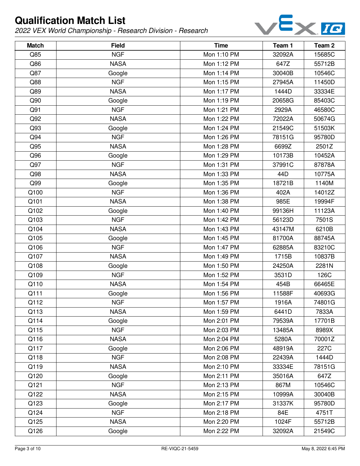

| <b>Match</b> | <b>Field</b> | <b>Time</b> | Team 1 | Team 2 |
|--------------|--------------|-------------|--------|--------|
| Q85          | <b>NGF</b>   | Mon 1:10 PM | 32092A | 15685C |
| Q86          | <b>NASA</b>  | Mon 1:12 PM | 647Z   | 55712B |
| Q87          | Google       | Mon 1:14 PM | 30040B | 10546C |
| Q88          | <b>NGF</b>   | Mon 1:15 PM | 27945A | 11450D |
| Q89          | <b>NASA</b>  | Mon 1:17 PM | 1444D  | 33334E |
| Q90          | Google       | Mon 1:19 PM | 20658G | 85403C |
| Q91          | <b>NGF</b>   | Mon 1:21 PM | 2929A  | 46580C |
| Q92          | <b>NASA</b>  | Mon 1:22 PM | 72022A | 50674G |
| Q93          | Google       | Mon 1:24 PM | 21549C | 51503K |
| Q94          | <b>NGF</b>   | Mon 1:26 PM | 78151G | 95780D |
| Q95          | <b>NASA</b>  | Mon 1:28 PM | 6699Z  | 2501Z  |
| Q96          | Google       | Mon 1:29 PM | 10173B | 10452A |
| Q97          | <b>NGF</b>   | Mon 1:31 PM | 37991C | 87878A |
| Q98          | <b>NASA</b>  | Mon 1:33 PM | 44D    | 10775A |
| Q99          | Google       | Mon 1:35 PM | 18721B | 1140M  |
| Q100         | <b>NGF</b>   | Mon 1:36 PM | 402A   | 14012Z |
| Q101         | <b>NASA</b>  | Mon 1:38 PM | 985E   | 19994F |
| Q102         | Google       | Mon 1:40 PM | 99136H | 11123A |
| Q103         | <b>NGF</b>   | Mon 1:42 PM | 56123D | 7501S  |
| Q104         | <b>NASA</b>  | Mon 1:43 PM | 43147M | 6210B  |
| Q105         | Google       | Mon 1:45 PM | 81700A | 88745A |
| Q106         | <b>NGF</b>   | Mon 1:47 PM | 62885A | 83210C |
| Q107         | <b>NASA</b>  | Mon 1:49 PM | 1715B  | 10837B |
| Q108         | Google       | Mon 1:50 PM | 24250A | 2281N  |
| Q109         | <b>NGF</b>   | Mon 1:52 PM | 3531D  | 126C   |
| Q110         | <b>NASA</b>  | Mon 1:54 PM | 454B   | 66465E |
| Q111         | Google       | Mon 1:56 PM | 11588F | 40693G |
| Q112         | <b>NGF</b>   | Mon 1:57 PM | 1916A  | 74801G |
| Q113         | <b>NASA</b>  | Mon 1:59 PM | 6441D  | 7833A  |
| Q114         | Google       | Mon 2:01 PM | 79539A | 17701B |
| Q115         | <b>NGF</b>   | Mon 2:03 PM | 13485A | 8989X  |
| Q116         | <b>NASA</b>  | Mon 2:04 PM | 5280A  | 70001Z |
| Q117         | Google       | Mon 2:06 PM | 48919A | 227C   |
| Q118         | <b>NGF</b>   | Mon 2:08 PM | 22439A | 1444D  |
| Q119         | <b>NASA</b>  | Mon 2:10 PM | 33334E | 78151G |
| Q120         | Google       | Mon 2:11 PM | 35016A | 647Z   |
| Q121         | <b>NGF</b>   | Mon 2:13 PM | 867M   | 10546C |
| Q122         | <b>NASA</b>  | Mon 2:15 PM | 10999A | 30040B |
| Q123         | Google       | Mon 2:17 PM | 31337K | 95780D |
| Q124         | <b>NGF</b>   | Mon 2:18 PM | 84E    | 4751T  |
| Q125         | <b>NASA</b>  | Mon 2:20 PM | 1024F  | 55712B |
| Q126         | Google       | Mon 2:22 PM | 32092A | 21549C |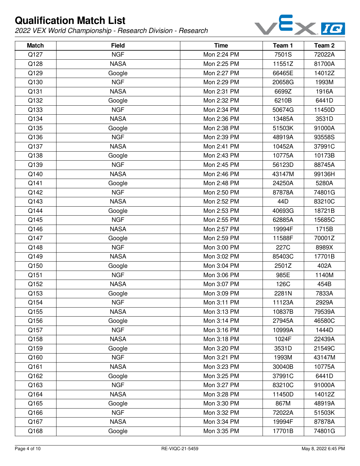

| <b>Match</b> | <b>Field</b> | <b>Time</b> | Team 1 | Team <sub>2</sub> |
|--------------|--------------|-------------|--------|-------------------|
| Q127         | <b>NGF</b>   | Mon 2:24 PM | 7501S  | 72022A            |
| Q128         | <b>NASA</b>  | Mon 2:25 PM | 11551Z | 81700A            |
| Q129         | Google       | Mon 2:27 PM | 66465E | 14012Z            |
| Q130         | <b>NGF</b>   | Mon 2:29 PM | 20658G | 1993M             |
| Q131         | <b>NASA</b>  | Mon 2:31 PM | 6699Z  | 1916A             |
| Q132         | Google       | Mon 2:32 PM | 6210B  | 6441D             |
| Q133         | <b>NGF</b>   | Mon 2:34 PM | 50674G | 11450D            |
| Q134         | <b>NASA</b>  | Mon 2:36 PM | 13485A | 3531D             |
| Q135         | Google       | Mon 2:38 PM | 51503K | 91000A            |
| Q136         | <b>NGF</b>   | Mon 2:39 PM | 48919A | 93558S            |
| Q137         | <b>NASA</b>  | Mon 2:41 PM | 10452A | 37991C            |
| Q138         | Google       | Mon 2:43 PM | 10775A | 10173B            |
| Q139         | <b>NGF</b>   | Mon 2:45 PM | 56123D | 88745A            |
| Q140         | <b>NASA</b>  | Mon 2:46 PM | 43147M | 99136H            |
| Q141         | Google       | Mon 2:48 PM | 24250A | 5280A             |
| Q142         | <b>NGF</b>   | Mon 2:50 PM | 87878A | 74801G            |
| Q143         | <b>NASA</b>  | Mon 2:52 PM | 44D    | 83210C            |
| Q144         | Google       | Mon 2:53 PM | 40693G | 18721B            |
| Q145         | <b>NGF</b>   | Mon 2:55 PM | 62885A | 15685C            |
| Q146         | <b>NASA</b>  | Mon 2:57 PM | 19994F | 1715B             |
| Q147         | Google       | Mon 2:59 PM | 11588F | 70001Z            |
| Q148         | <b>NGF</b>   | Mon 3:00 PM | 227C   | 8989X             |
| Q149         | <b>NASA</b>  | Mon 3:02 PM | 85403C | 17701B            |
| Q150         | Google       | Mon 3:04 PM | 2501Z  | 402A              |
| Q151         | <b>NGF</b>   | Mon 3:06 PM | 985E   | 1140M             |
| Q152         | <b>NASA</b>  | Mon 3:07 PM | 126C   | 454B              |
| Q153         | Google       | Mon 3:09 PM | 2281N  | 7833A             |
| Q154         | <b>NGF</b>   | Mon 3:11 PM | 11123A | 2929A             |
| Q155         | <b>NASA</b>  | Mon 3:13 PM | 10837B | 79539A            |
| Q156         | Google       | Mon 3:14 PM | 27945A | 46580C            |
| Q157         | <b>NGF</b>   | Mon 3:16 PM | 10999A | 1444D             |
| Q158         | <b>NASA</b>  | Mon 3:18 PM | 1024F  | 22439A            |
| Q159         | Google       | Mon 3:20 PM | 3531D  | 21549C            |
| Q160         | <b>NGF</b>   | Mon 3:21 PM | 1993M  | 43147M            |
| Q161         | <b>NASA</b>  | Mon 3:23 PM | 30040B | 10775A            |
| Q162         | Google       | Mon 3:25 PM | 37991C | 6441D             |
| Q163         | <b>NGF</b>   | Mon 3:27 PM | 83210C | 91000A            |
| Q164         | <b>NASA</b>  | Mon 3:28 PM | 11450D | 14012Z            |
| Q165         | Google       | Mon 3:30 PM | 867M   | 48919A            |
| Q166         | <b>NGF</b>   | Mon 3:32 PM | 72022A | 51503K            |
| Q167         | <b>NASA</b>  | Mon 3:34 PM | 19994F | 87878A            |
| Q168         | Google       | Mon 3:35 PM | 17701B | 74801G            |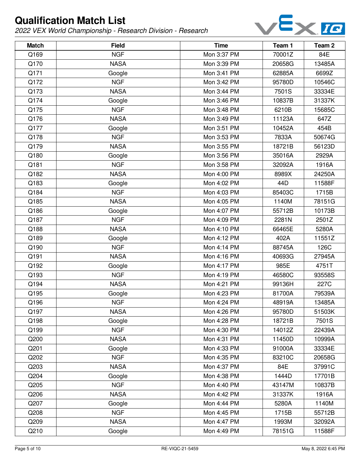

| <b>Match</b> | <b>Field</b> | <b>Time</b> | Team 1 | Team <sub>2</sub> |
|--------------|--------------|-------------|--------|-------------------|
| Q169         | <b>NGF</b>   | Mon 3:37 PM | 70001Z | 84E               |
| Q170         | <b>NASA</b>  | Mon 3:39 PM | 20658G | 13485A            |
| Q171         | Google       | Mon 3:41 PM | 62885A | 6699Z             |
| Q172         | <b>NGF</b>   | Mon 3:42 PM | 95780D | 10546C            |
| Q173         | <b>NASA</b>  | Mon 3:44 PM | 7501S  | 33334E            |
| Q174         | Google       | Mon 3:46 PM | 10837B | 31337K            |
| Q175         | <b>NGF</b>   | Mon 3:48 PM | 6210B  | 15685C            |
| Q176         | <b>NASA</b>  | Mon 3:49 PM | 11123A | 647Z              |
| Q177         | Google       | Mon 3:51 PM | 10452A | 454B              |
| Q178         | <b>NGF</b>   | Mon 3:53 PM | 7833A  | 50674G            |
| Q179         | <b>NASA</b>  | Mon 3:55 PM | 18721B | 56123D            |
| Q180         | Google       | Mon 3:56 PM | 35016A | 2929A             |
| Q181         | <b>NGF</b>   | Mon 3:58 PM | 32092A | 1916A             |
| Q182         | <b>NASA</b>  | Mon 4:00 PM | 8989X  | 24250A            |
| Q183         | Google       | Mon 4:02 PM | 44D    | 11588F            |
| Q184         | <b>NGF</b>   | Mon 4:03 PM | 85403C | 1715B             |
| Q185         | <b>NASA</b>  | Mon 4:05 PM | 1140M  | 78151G            |
| Q186         | Google       | Mon 4:07 PM | 55712B | 10173B            |
| Q187         | <b>NGF</b>   | Mon 4:09 PM | 2281N  | 2501Z             |
| Q188         | <b>NASA</b>  | Mon 4:10 PM | 66465E | 5280A             |
| Q189         | Google       | Mon 4:12 PM | 402A   | 11551Z            |
| Q190         | <b>NGF</b>   | Mon 4:14 PM | 88745A | 126C              |
| Q191         | <b>NASA</b>  | Mon 4:16 PM | 40693G | 27945A            |
| Q192         | Google       | Mon 4:17 PM | 985E   | 4751T             |
| Q193         | <b>NGF</b>   | Mon 4:19 PM | 46580C | 93558S            |
| Q194         | <b>NASA</b>  | Mon 4:21 PM | 99136H | 227C              |
| Q195         | Google       | Mon 4:23 PM | 81700A | 79539A            |
| Q196         | <b>NGF</b>   | Mon 4:24 PM | 48919A | 13485A            |
| Q197         | <b>NASA</b>  | Mon 4:26 PM | 95780D | 51503K            |
| Q198         | Google       | Mon 4:28 PM | 18721B | 7501S             |
| Q199         | <b>NGF</b>   | Mon 4:30 PM | 14012Z | 22439A            |
| Q200         | <b>NASA</b>  | Mon 4:31 PM | 11450D | 10999A            |
| Q201         | Google       | Mon 4:33 PM | 91000A | 33334E            |
| Q202         | <b>NGF</b>   | Mon 4:35 PM | 83210C | 20658G            |
| Q203         | <b>NASA</b>  | Mon 4:37 PM | 84E    | 37991C            |
| Q204         | Google       | Mon 4:38 PM | 1444D  | 17701B            |
| Q205         | <b>NGF</b>   | Mon 4:40 PM | 43147M | 10837B            |
| Q206         | <b>NASA</b>  | Mon 4:42 PM | 31337K | 1916A             |
| Q207         | Google       | Mon 4:44 PM | 5280A  | 1140M             |
| Q208         | <b>NGF</b>   | Mon 4:45 PM | 1715B  | 55712B            |
| Q209         | <b>NASA</b>  | Mon 4:47 PM | 1993M  | 32092A            |
| Q210         | Google       | Mon 4:49 PM | 78151G | 11588F            |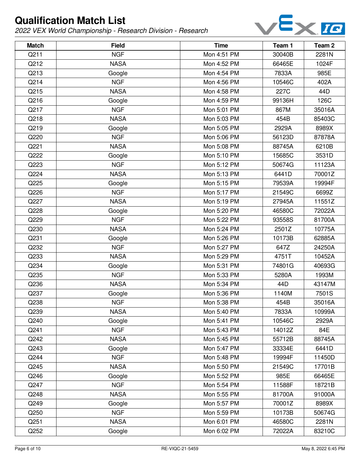

| <b>Match</b> | <b>Field</b> | <b>Time</b> | Team 1 | Team 2 |
|--------------|--------------|-------------|--------|--------|
| Q211         | <b>NGF</b>   | Mon 4:51 PM | 30040B | 2281N  |
| Q212         | <b>NASA</b>  | Mon 4:52 PM | 66465E | 1024F  |
| Q213         | Google       | Mon 4:54 PM | 7833A  | 985E   |
| Q214         | <b>NGF</b>   | Mon 4:56 PM | 10546C | 402A   |
| Q215         | <b>NASA</b>  | Mon 4:58 PM | 227C   | 44D    |
| Q216         | Google       | Mon 4:59 PM | 99136H | 126C   |
| Q217         | <b>NGF</b>   | Mon 5:01 PM | 867M   | 35016A |
| Q218         | <b>NASA</b>  | Mon 5:03 PM | 454B   | 85403C |
| Q219         | Google       | Mon 5:05 PM | 2929A  | 8989X  |
| Q220         | <b>NGF</b>   | Mon 5:06 PM | 56123D | 87878A |
| Q221         | <b>NASA</b>  | Mon 5:08 PM | 88745A | 6210B  |
| Q222         | Google       | Mon 5:10 PM | 15685C | 3531D  |
| Q223         | <b>NGF</b>   | Mon 5:12 PM | 50674G | 11123A |
| Q224         | <b>NASA</b>  | Mon 5:13 PM | 6441D  | 70001Z |
| Q225         | Google       | Mon 5:15 PM | 79539A | 19994F |
| Q226         | <b>NGF</b>   | Mon 5:17 PM | 21549C | 6699Z  |
| Q227         | <b>NASA</b>  | Mon 5:19 PM | 27945A | 11551Z |
| Q228         | Google       | Mon 5:20 PM | 46580C | 72022A |
| Q229         | <b>NGF</b>   | Mon 5:22 PM | 93558S | 81700A |
| Q230         | <b>NASA</b>  | Mon 5:24 PM | 2501Z  | 10775A |
| Q231         | Google       | Mon 5:26 PM | 10173B | 62885A |
| Q232         | <b>NGF</b>   | Mon 5:27 PM | 647Z   | 24250A |
| Q233         | <b>NASA</b>  | Mon 5:29 PM | 4751T  | 10452A |
| Q234         | Google       | Mon 5:31 PM | 74801G | 40693G |
| Q235         | <b>NGF</b>   | Mon 5:33 PM | 5280A  | 1993M  |
| Q236         | <b>NASA</b>  | Mon 5:34 PM | 44D    | 43147M |
| Q237         | Google       | Mon 5:36 PM | 1140M  | 7501S  |
| Q238         | <b>NGF</b>   | Mon 5:38 PM | 454B   | 35016A |
| Q239         | <b>NASA</b>  | Mon 5:40 PM | 7833A  | 10999A |
| Q240         | Google       | Mon 5:41 PM | 10546C | 2929A  |
| Q241         | <b>NGF</b>   | Mon 5:43 PM | 14012Z | 84E    |
| Q242         | <b>NASA</b>  | Mon 5:45 PM | 55712B | 88745A |
| Q243         | Google       | Mon 5:47 PM | 33334E | 6441D  |
| Q244         | <b>NGF</b>   | Mon 5:48 PM | 19994F | 11450D |
| Q245         | <b>NASA</b>  | Mon 5:50 PM | 21549C | 17701B |
| Q246         | Google       | Mon 5:52 PM | 985E   | 66465E |
| Q247         | <b>NGF</b>   | Mon 5:54 PM | 11588F | 18721B |
| Q248         | <b>NASA</b>  | Mon 5:55 PM | 81700A | 91000A |
| Q249         | Google       | Mon 5:57 PM | 70001Z | 8989X  |
| Q250         | <b>NGF</b>   | Mon 5:59 PM | 10173B | 50674G |
| Q251         | <b>NASA</b>  | Mon 6:01 PM | 46580C | 2281N  |
| Q252         | Google       | Mon 6:02 PM | 72022A | 83210C |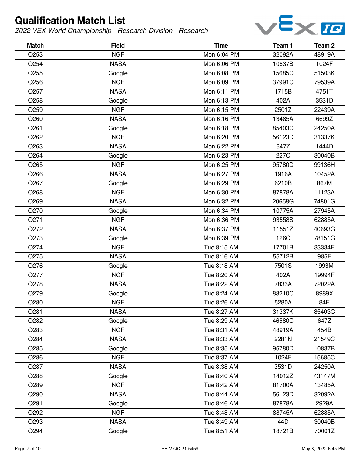

| <b>Match</b> | <b>Field</b> | <b>Time</b> | Team 1 | Team <sub>2</sub> |
|--------------|--------------|-------------|--------|-------------------|
| Q253         | <b>NGF</b>   | Mon 6:04 PM | 32092A | 48919A            |
| Q254         | <b>NASA</b>  | Mon 6:06 PM | 10837B | 1024F             |
| Q255         | Google       | Mon 6:08 PM | 15685C | 51503K            |
| Q256         | <b>NGF</b>   | Mon 6:09 PM | 37991C | 79539A            |
| Q257         | <b>NASA</b>  | Mon 6:11 PM | 1715B  | 4751T             |
| Q258         | Google       | Mon 6:13 PM | 402A   | 3531D             |
| Q259         | <b>NGF</b>   | Mon 6:15 PM | 2501Z  | 22439A            |
| Q260         | <b>NASA</b>  | Mon 6:16 PM | 13485A | 6699Z             |
| Q261         | Google       | Mon 6:18 PM | 85403C | 24250A            |
| Q262         | <b>NGF</b>   | Mon 6:20 PM | 56123D | 31337K            |
| Q263         | <b>NASA</b>  | Mon 6:22 PM | 647Z   | 1444D             |
| Q264         | Google       | Mon 6:23 PM | 227C   | 30040B            |
| Q265         | <b>NGF</b>   | Mon 6:25 PM | 95780D | 99136H            |
| Q266         | <b>NASA</b>  | Mon 6:27 PM | 1916A  | 10452A            |
| Q267         | Google       | Mon 6:29 PM | 6210B  | 867M              |
| Q268         | <b>NGF</b>   | Mon 6:30 PM | 87878A | 11123A            |
| Q269         | <b>NASA</b>  | Mon 6:32 PM | 20658G | 74801G            |
| Q270         | Google       | Mon 6:34 PM | 10775A | 27945A            |
| Q271         | <b>NGF</b>   | Mon 6:36 PM | 93558S | 62885A            |
| Q272         | <b>NASA</b>  | Mon 6:37 PM | 11551Z | 40693G            |
| Q273         | Google       | Mon 6:39 PM | 126C   | 78151G            |
| Q274         | <b>NGF</b>   | Tue 8:15 AM | 17701B | 33334E            |
| Q275         | <b>NASA</b>  | Tue 8:16 AM | 55712B | 985E              |
| Q276         | Google       | Tue 8:18 AM | 7501S  | 1993M             |
| Q277         | <b>NGF</b>   | Tue 8:20 AM | 402A   | 19994F            |
| Q278         | <b>NASA</b>  | Tue 8:22 AM | 7833A  | 72022A            |
| Q279         | Google       | Tue 8:24 AM | 83210C | 8989X             |
| Q280         | <b>NGF</b>   | Tue 8:26 AM | 5280A  | 84E               |
| Q281         | <b>NASA</b>  | Tue 8:27 AM | 31337K | 85403C            |
| Q282         | Google       | Tue 8:29 AM | 46580C | 647Z              |
| Q283         | <b>NGF</b>   | Tue 8:31 AM | 48919A | 454B              |
| Q284         | <b>NASA</b>  | Tue 8:33 AM | 2281N  | 21549C            |
| Q285         | Google       | Tue 8:35 AM | 95780D | 10837B            |
| Q286         | <b>NGF</b>   | Tue 8:37 AM | 1024F  | 15685C            |
| Q287         | <b>NASA</b>  | Tue 8:38 AM | 3531D  | 24250A            |
| Q288         | Google       | Tue 8:40 AM | 14012Z | 43147M            |
| Q289         | <b>NGF</b>   | Tue 8:42 AM | 81700A | 13485A            |
| Q290         | <b>NASA</b>  | Tue 8:44 AM | 56123D | 32092A            |
| Q291         | Google       | Tue 8:46 AM | 87878A | 2929A             |
| Q292         | <b>NGF</b>   | Tue 8:48 AM | 88745A | 62885A            |
| Q293         | <b>NASA</b>  | Tue 8:49 AM | 44D    | 30040B            |
| Q294         | Google       | Tue 8:51 AM | 18721B | 70001Z            |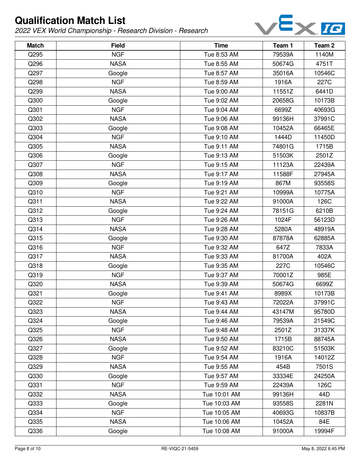

| <b>Match</b> | <b>Field</b> | <b>Time</b>  | Team 1 | Team 2 |
|--------------|--------------|--------------|--------|--------|
| Q295         | <b>NGF</b>   | Tue 8:53 AM  | 79539A | 1140M  |
| Q296         | <b>NASA</b>  | Tue 8:55 AM  | 50674G | 4751T  |
| Q297         | Google       | Tue 8:57 AM  | 35016A | 10546C |
| Q298         | <b>NGF</b>   | Tue 8:59 AM  | 1916A  | 227C   |
| Q299         | <b>NASA</b>  | Tue 9:00 AM  | 11551Z | 6441D  |
| Q300         | Google       | Tue 9:02 AM  | 20658G | 10173B |
| Q301         | <b>NGF</b>   | Tue 9:04 AM  | 6699Z  | 40693G |
| Q302         | <b>NASA</b>  | Tue 9:06 AM  | 99136H | 37991C |
| Q303         | Google       | Tue 9:08 AM  | 10452A | 66465E |
| Q304         | <b>NGF</b>   | Tue 9:10 AM  | 1444D  | 11450D |
| Q305         | <b>NASA</b>  | Tue 9:11 AM  | 74801G | 1715B  |
| Q306         | Google       | Tue 9:13 AM  | 51503K | 2501Z  |
| Q307         | <b>NGF</b>   | Tue 9:15 AM  | 11123A | 22439A |
| Q308         | <b>NASA</b>  | Tue 9:17 AM  | 11588F | 27945A |
| Q309         | Google       | Tue 9:19 AM  | 867M   | 93558S |
| Q310         | <b>NGF</b>   | Tue 9:21 AM  | 10999A | 10775A |
| Q311         | <b>NASA</b>  | Tue 9:22 AM  | 91000A | 126C   |
| Q312         | Google       | Tue 9:24 AM  | 78151G | 6210B  |
| Q313         | <b>NGF</b>   | Tue 9:26 AM  | 1024F  | 56123D |
| Q314         | <b>NASA</b>  | Tue 9:28 AM  | 5280A  | 48919A |
| Q315         | Google       | Tue 9:30 AM  | 87878A | 62885A |
| Q316         | <b>NGF</b>   | Tue 9:32 AM  | 647Z   | 7833A  |
| Q317         | <b>NASA</b>  | Tue 9:33 AM  | 81700A | 402A   |
| Q318         | Google       | Tue 9:35 AM  | 227C   | 10546C |
| Q319         | <b>NGF</b>   | Tue 9:37 AM  | 70001Z | 985E   |
| Q320         | <b>NASA</b>  | Tue 9:39 AM  | 50674G | 6699Z  |
| Q321         | Google       | Tue 9:41 AM  | 8989X  | 10173B |
| Q322         | <b>NGF</b>   | Tue 9:43 AM  | 72022A | 37991C |
| Q323         | <b>NASA</b>  | Tue 9:44 AM  | 43147M | 95780D |
| Q324         | Google       | Tue 9:46 AM  | 79539A | 21549C |
| Q325         | <b>NGF</b>   | Tue 9:48 AM  | 2501Z  | 31337K |
| Q326         | <b>NASA</b>  | Tue 9:50 AM  | 1715B  | 88745A |
| Q327         | Google       | Tue 9:52 AM  | 83210C | 51503K |
| Q328         | <b>NGF</b>   | Tue 9:54 AM  | 1916A  | 14012Z |
| Q329         | <b>NASA</b>  | Tue 9:55 AM  | 454B   | 7501S  |
| Q330         | Google       | Tue 9:57 AM  | 33334E | 24250A |
| Q331         | <b>NGF</b>   | Tue 9:59 AM  | 22439A | 126C   |
| Q332         | <b>NASA</b>  | Tue 10:01 AM | 99136H | 44D    |
| Q333         | Google       | Tue 10:03 AM | 93558S | 2281N  |
| Q334         | <b>NGF</b>   | Tue 10:05 AM | 40693G | 10837B |
| Q335         | <b>NASA</b>  | Tue 10:06 AM | 10452A | 84E    |
| Q336         | Google       | Tue 10:08 AM | 91000A | 19994F |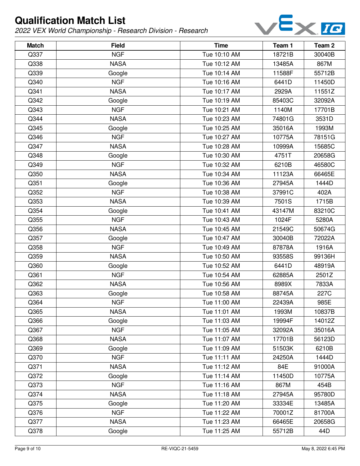

| <b>Match</b> | <b>Field</b> | <b>Time</b>  | Team 1 | Team <sub>2</sub> |
|--------------|--------------|--------------|--------|-------------------|
| Q337         | <b>NGF</b>   | Tue 10:10 AM | 18721B | 30040B            |
| Q338         | <b>NASA</b>  | Tue 10:12 AM | 13485A | 867M              |
| Q339         | Google       | Tue 10:14 AM | 11588F | 55712B            |
| Q340         | <b>NGF</b>   | Tue 10:16 AM | 6441D  | 11450D            |
| Q341         | <b>NASA</b>  | Tue 10:17 AM | 2929A  | 11551Z            |
| Q342         | Google       | Tue 10:19 AM | 85403C | 32092A            |
| Q343         | <b>NGF</b>   | Tue 10:21 AM | 1140M  | 17701B            |
| Q344         | <b>NASA</b>  | Tue 10:23 AM | 74801G | 3531D             |
| Q345         | Google       | Tue 10:25 AM | 35016A | 1993M             |
| Q346         | <b>NGF</b>   | Tue 10:27 AM | 10775A | 78151G            |
| Q347         | <b>NASA</b>  | Tue 10:28 AM | 10999A | 15685C            |
| Q348         | Google       | Tue 10:30 AM | 4751T  | 20658G            |
| Q349         | <b>NGF</b>   | Tue 10:32 AM | 6210B  | 46580C            |
| Q350         | <b>NASA</b>  | Tue 10:34 AM | 11123A | 66465E            |
| Q351         | Google       | Tue 10:36 AM | 27945A | 1444D             |
| Q352         | <b>NGF</b>   | Tue 10:38 AM | 37991C | 402A              |
| Q353         | <b>NASA</b>  | Tue 10:39 AM | 7501S  | 1715B             |
| Q354         | Google       | Tue 10:41 AM | 43147M | 83210C            |
| Q355         | <b>NGF</b>   | Tue 10:43 AM | 1024F  | 5280A             |
| Q356         | <b>NASA</b>  | Tue 10:45 AM | 21549C | 50674G            |
| Q357         | Google       | Tue 10:47 AM | 30040B | 72022A            |
| Q358         | <b>NGF</b>   | Tue 10:49 AM | 87878A | 1916A             |
| Q359         | <b>NASA</b>  | Tue 10:50 AM | 93558S | 99136H            |
| Q360         | Google       | Tue 10:52 AM | 6441D  | 48919A            |
| Q361         | <b>NGF</b>   | Tue 10:54 AM | 62885A | 2501Z             |
| Q362         | <b>NASA</b>  | Tue 10:56 AM | 8989X  | 7833A             |
| Q363         | Google       | Tue 10:58 AM | 88745A | 227C              |
| Q364         | <b>NGF</b>   | Tue 11:00 AM | 22439A | 985E              |
| Q365         | <b>NASA</b>  | Tue 11:01 AM | 1993M  | 10837B            |
| Q366         | Google       | Tue 11:03 AM | 19994F | 14012Z            |
| Q367         | <b>NGF</b>   | Tue 11:05 AM | 32092A | 35016A            |
| Q368         | <b>NASA</b>  | Tue 11:07 AM | 17701B | 56123D            |
| Q369         | Google       | Tue 11:09 AM | 51503K | 6210B             |
| Q370         | <b>NGF</b>   | Tue 11:11 AM | 24250A | 1444D             |
| Q371         | <b>NASA</b>  | Tue 11:12 AM | 84E    | 91000A            |
| Q372         | Google       | Tue 11:14 AM | 11450D | 10775A            |
| Q373         | <b>NGF</b>   | Tue 11:16 AM | 867M   | 454B              |
| Q374         | <b>NASA</b>  | Tue 11:18 AM | 27945A | 95780D            |
| Q375         | Google       | Tue 11:20 AM | 33334E | 13485A            |
| Q376         | <b>NGF</b>   | Tue 11:22 AM | 70001Z | 81700A            |
| Q377         | <b>NASA</b>  | Tue 11:23 AM | 66465E | 20658G            |
| Q378         | Google       | Tue 11:25 AM | 55712B | 44D               |